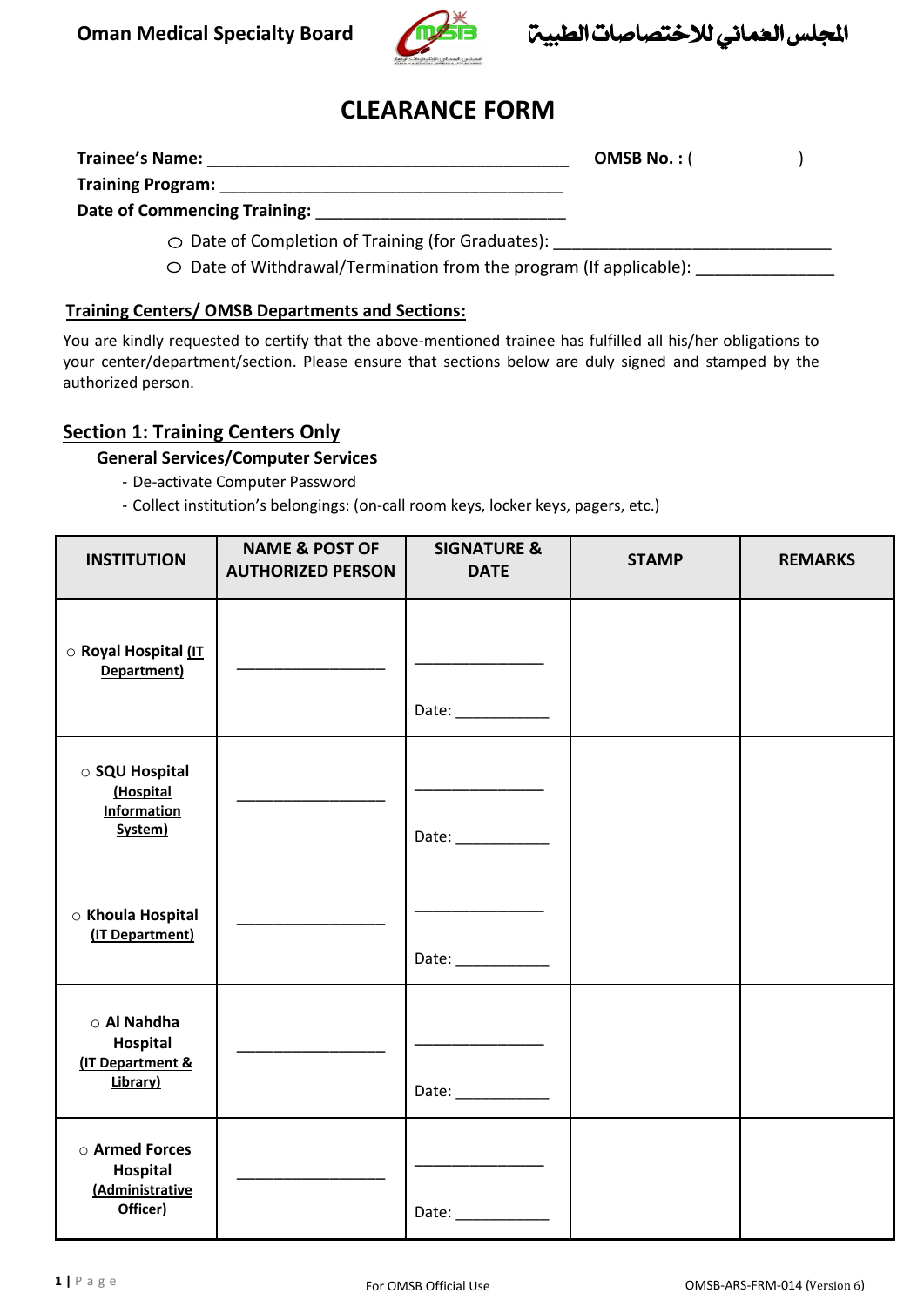

اجمللس العُماني لالختصاصات الطبية **Board Specialty Medical Oman**

# **CLEARANCE FORM**

| <b>Trainee's Name:</b>                                  | OMSB No.: $($ |  |
|---------------------------------------------------------|---------------|--|
| <b>Training Program:</b>                                |               |  |
| Date of Commencing Training:                            |               |  |
| $\circ$ Date of Completion of Training (for Graduates): |               |  |

 $\circ$  Date of Withdrawal/Termination from the program (If applicable):

#### **Training Centers/ OMSB Departments and Sections:**

You are kindly requested to certify that the above-mentioned trainee has fulfilled all his/her obligations to your center/department/section. Please ensure that sections below are duly signed and stamped by the authorized person.

## **Section 1: Training Centers Only**

## **General Services/Computer Services**

- De-activate Computer Password
- Collect institution's belongings: (on-call room keys, locker keys, pagers, etc.)

| <b>INSTITUTION</b>                                            | <b>NAME &amp; POST OF</b><br><b>AUTHORIZED PERSON</b> | <b>SIGNATURE &amp;</b><br><b>DATE</b>                              | <b>STAMP</b> | <b>REMARKS</b> |
|---------------------------------------------------------------|-------------------------------------------------------|--------------------------------------------------------------------|--------------|----------------|
| ○ Royal Hospital (IT<br>Department)                           |                                                       | Date: _____________                                                |              |                |
| ○ SQU Hospital<br>(Hospital<br><b>Information</b><br>System)  |                                                       | the control of the control of the<br>Date: _____________           |              |                |
| ○ Khoula Hospital<br>(IT Department)                          |                                                       | Date: $\frac{1}{2}$                                                |              |                |
| $\circ$ Al Nahdha<br>Hospital<br>(IT Department &<br>Library) |                                                       | <u> 1980 - Johann Barnett, fransk konge</u><br>Date: $\frac{1}{2}$ |              |                |
| ○ Armed Forces<br>Hospital<br>(Administrative<br>Officer)     |                                                       | Date: $\qquad \qquad$                                              |              |                |